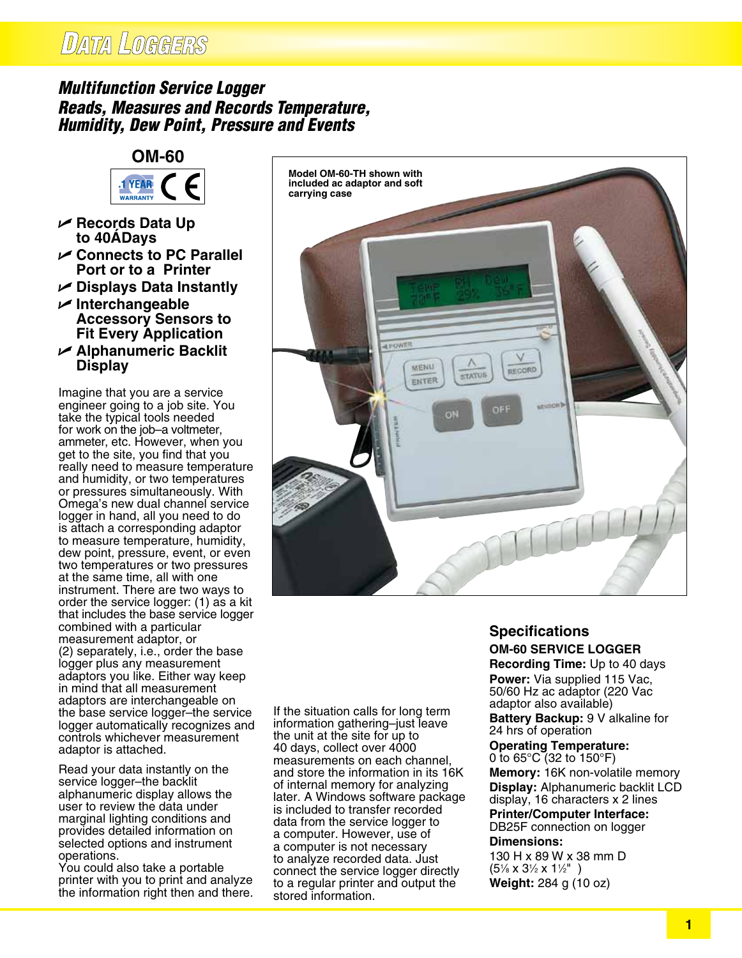# **DATA LOGGERS**

### *Multifunction Service Logger Reads, Measures and Records Temperature, Humidity, Dew Point, Pressure and Events*



- U **Records Data Up to 40�Days**
- U **Connects to PC Parallel Port or to a Printer**
- U **Displays Data Instantly**
- U **Interchangeable Accessory Sensors to Fit Every Application**
- U **Alphanumeric Backlit Display**

Imagine that you are a service engineer going to a job site. You take the typical tools needed for work on the job–a voltmeter, ammeter, etc. However, when you get to the site, you find that you really need to measure temperature and humidity, or two temperatures or pressures simultaneously. With Omega's new dual channel service logger in hand, all you need to do is attach a corresponding adaptor to measure temperature, humidity, dew point, pressure, event, or even two temperatures or two pressures at the same time, all with one instrument. There are two ways to order the service logger: (1) as a kit that includes the base service logger combined with a particular measurement adaptor, or (2) separately, i.e., order the base logger plus any measurement adaptors you like. Either way keep in mind that all measurement adaptors are interchangeable on the base service logger–the service logger automatically recognizes and controls whichever measurement adaptor is attached.

Read your data instantly on the service logger–the backlit alphanumeric display allows the user to review the data under marginal lighting conditions and provides detailed information on selected options and instrument operations.

You could also take a portable printer with you to print and analyze the information right then and there.

If the situation calls for long term information gathering–just leave the unit at the site for up to 40 days, collect over 4000 measurements on each channel, and store the information in its 16K of internal memory for analyzing later. A Windows software package is included to transfer recorded data from the service logger to a computer. However, use of a computer is not necessary to analyze recorded data. Just connect the service logger directly to a regular printer and output the stored information.

**Model OM-60-TH shown with included ac adaptor and soft** 

**ALBIOVA** 

MENU

ENTER

**carrying case**

## **Specifications OM-60 SERVICE LOGGER**

RECORD

**STATUS** 

**Recording Time:** Up to 40 days **Power:** Via supplied 115 Vac, 50/60 Hz ac adaptor (220 Vac adaptor also available)

**Battery Backup:** 9 V alkaline for 24 hrs of operation

**Operating Temperature:** 0 to 65°C (32 to 150°F) **Memory:** 16K non-volatile memory **Display:** Alphanumeric backlit LCD display, 16 characters x 2 lines **Printer/Computer Interface:** DB25F connection on logger

#### **Dimensions:**

130 H x 89 W x 38 mm D (51 ⁄8 x 31 ⁄2 x 11 ⁄2" ) **Weight:** 284 g (10 oz)

#### **1**